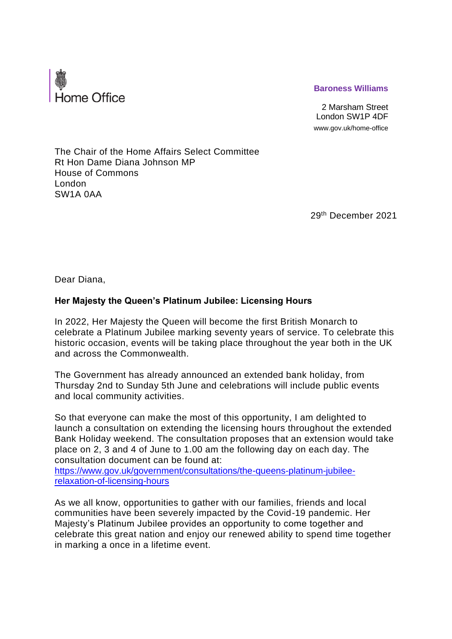

## **Baroness Williams**

2 Marsham Street London SW1P 4DF www.gov.uk/home-office

The Chair of the Home Affairs Select Committee Rt Hon Dame Diana Johnson MP House of Commons London SW1A 0AA

29th December 2021

Dear Diana,

## **Her Majesty the Queen's Platinum Jubilee: Licensing Hours**

In 2022, Her Majesty the Queen will become the first British Monarch to celebrate a Platinum Jubilee marking seventy years of service. To celebrate this historic occasion, events will be taking place throughout the year both in the UK and across the Commonwealth.

The Government has already announced an extended bank holiday, from Thursday 2nd to Sunday 5th June and celebrations will include public events and local community activities.

So that everyone can make the most of this opportunity, I am delighted to launch a consultation on extending the licensing hours throughout the extended Bank Holiday weekend. The consultation proposes that an extension would take place on 2, 3 and 4 of June to 1.00 am the following day on each day. The consultation document can be found at:

[https://www.gov.uk/government/consultations/the-queens-platinum-jubilee](https://www.gov.uk/government/consultations/the-queens-platinum-jubilee-relaxation-of-licensing-hours)[relaxation-of-licensing-hours](https://www.gov.uk/government/consultations/the-queens-platinum-jubilee-relaxation-of-licensing-hours)

As we all know, opportunities to gather with our families, friends and local communities have been severely impacted by the Covid-19 pandemic. Her Majesty's Platinum Jubilee provides an opportunity to come together and celebrate this great nation and enjoy our renewed ability to spend time together in marking a once in a lifetime event.